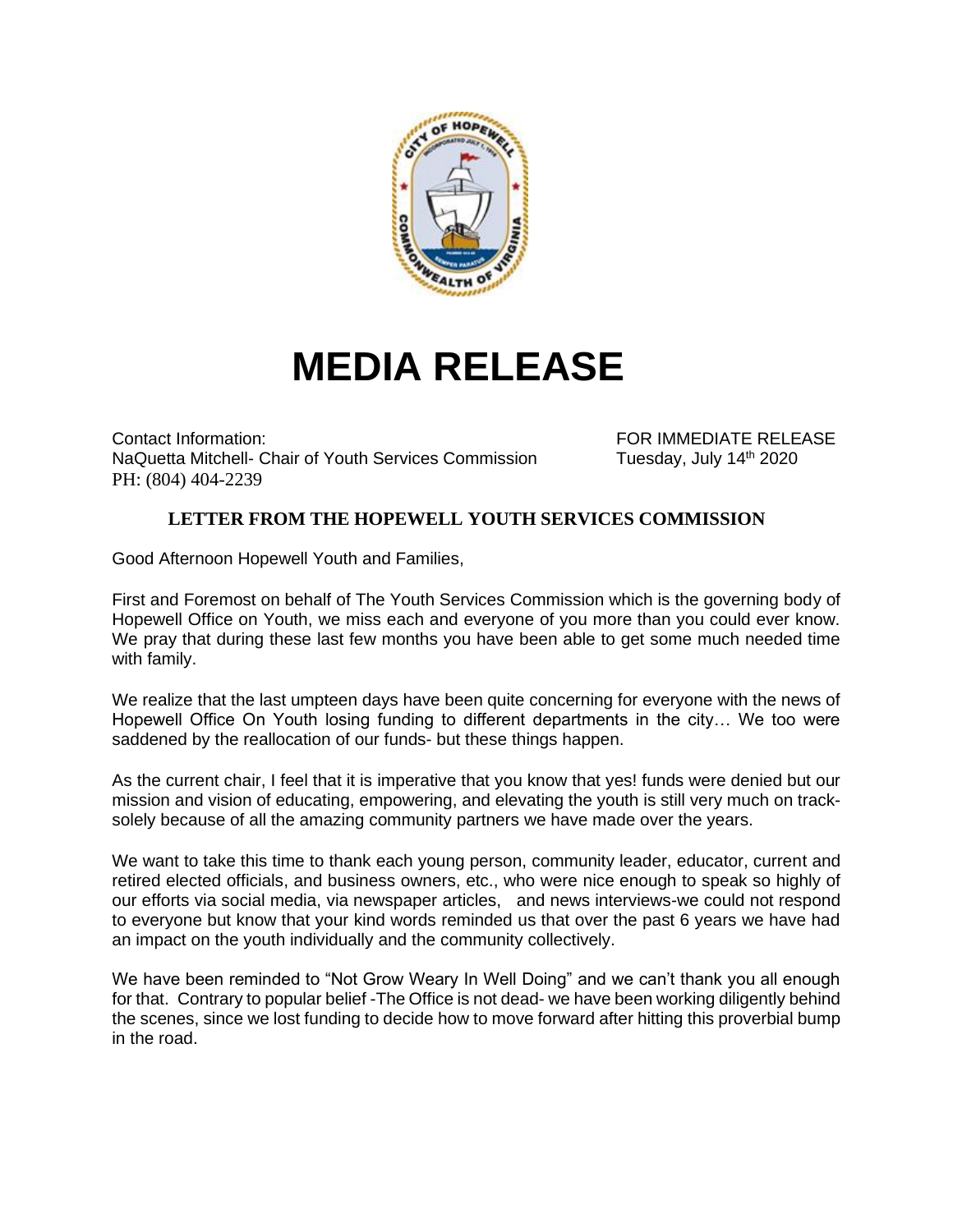

## **MEDIA RELEASE**

Contact Information: FOR IMMEDIATE RELEASE NaQuetta Mitchell- Chair of Youth Services Commission Tuesday, July 14<sup>th</sup> 2020 PH: (804) 404-2239

## **LETTER FROM THE HOPEWELL YOUTH SERVICES COMMISSION**

Good Afternoon Hopewell Youth and Families,

First and Foremost on behalf of The Youth Services Commission which is the governing body of Hopewell Office on Youth, we miss each and everyone of you more than you could ever know. We pray that during these last few months you have been able to get some much needed time with family.

We realize that the last umpteen days have been quite concerning for everyone with the news of Hopewell Office On Youth losing funding to different departments in the city… We too were saddened by the reallocation of our funds- but these things happen.

As the current chair, I feel that it is imperative that you know that yes! funds were denied but our mission and vision of educating, empowering, and elevating the youth is still very much on tracksolely because of all the amazing community partners we have made over the years.

We want to take this time to thank each young person, community leader, educator, current and retired elected officials, and business owners, etc., who were nice enough to speak so highly of our efforts via social media, via newspaper articles, and news interviews-we could not respond to everyone but know that your kind words reminded us that over the past 6 years we have had an impact on the youth individually and the community collectively.

We have been reminded to "Not Grow Weary In Well Doing" and we can't thank you all enough for that. Contrary to popular belief -The Office is not dead- we have been working diligently behind the scenes, since we lost funding to decide how to move forward after hitting this proverbial bump in the road.